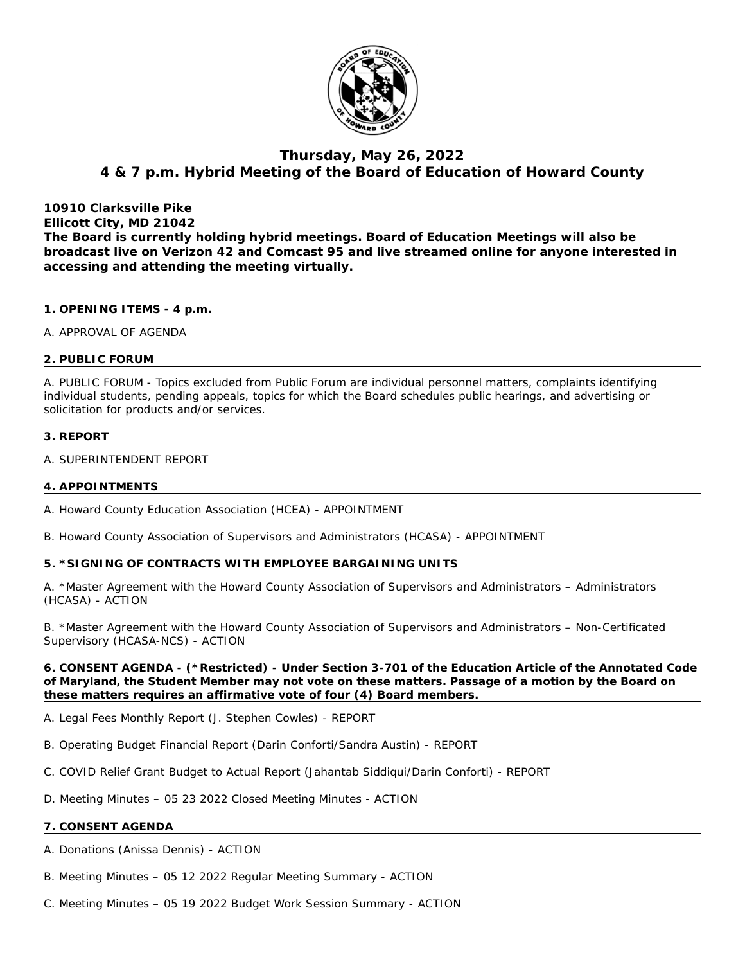

# **Thursday, May 26, 2022 4 & 7 p.m. Hybrid Meeting of the Board of Education of Howard County**

**Ellicott City, MD 21042 The Board is currently holding hybrid meetings. Board of Education Meetings will also be broadcast live on Verizon 42 and Comcast 95 and live streamed online for anyone interested in accessing and attending the meeting virtually.**

# **1. OPENING ITEMS - 4 p.m.**

# A. APPROVAL OF AGENDA

**10910 Clarksville Pike**

# **2. PUBLIC FORUM**

A. PUBLIC FORUM - Topics excluded from Public Forum are individual personnel matters, complaints identifying individual students, pending appeals, topics for which the Board schedules public hearings, and advertising or solicitation for products and/or services.

# **3. REPORT**

A. SUPERINTENDENT REPORT

#### **4. APPOINTMENTS**

- A. Howard County Education Association (HCEA) APPOINTMENT
- B. Howard County Association of Supervisors and Administrators (HCASA) APPOINTMENT

#### **5. \*SIGNING OF CONTRACTS WITH EMPLOYEE BARGAINING UNITS**

A. \*Master Agreement with the Howard County Association of Supervisors and Administrators – Administrators (HCASA) - ACTION

B. \*Master Agreement with the Howard County Association of Supervisors and Administrators – Non-Certificated Supervisory (HCASA-NCS) - ACTION

# **6. CONSENT AGENDA - (\*Restricted) - Under Section 3-701 of the Education Article of the Annotated Code of Maryland, the Student Member may not vote on these matters. Passage of a motion by the Board on these matters requires an affirmative vote of four (4) Board members.**

- A. Legal Fees Monthly Report (J. Stephen Cowles) REPORT
- B. Operating Budget Financial Report (Darin Conforti/Sandra Austin) REPORT
- C. COVID Relief Grant Budget to Actual Report (Jahantab Siddiqui/Darin Conforti) REPORT
- D. Meeting Minutes 05 23 2022 Closed Meeting Minutes ACTION

# **7. CONSENT AGENDA**

- A. Donations (Anissa Dennis) ACTION
- B. Meeting Minutes 05 12 2022 Regular Meeting Summary ACTION
- C. Meeting Minutes 05 19 2022 Budget Work Session Summary ACTION